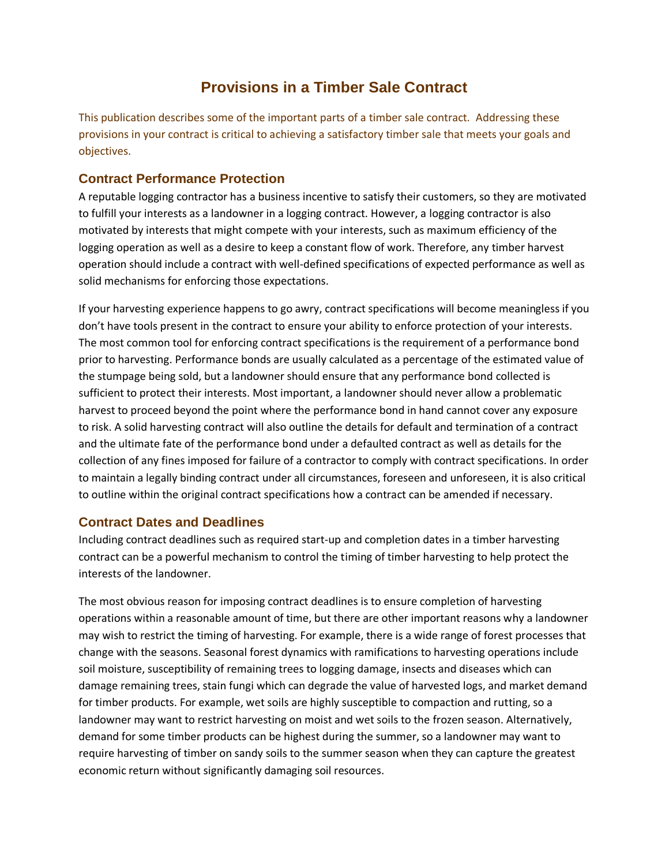# **Provisions in a Timber Sale Contract**

This publication describes some of the important parts of a timber sale contract. Addressing these provisions in your contract is critical to achieving a satisfactory timber sale that meets your goals and objectives.

#### **Contract Performance Protection**

A reputable logging contractor has a business incentive to satisfy their customers, so they are motivated to fulfill your interests as a landowner in a logging contract. However, a logging contractor is also motivated by interests that might compete with your interests, such as maximum efficiency of the logging operation as well as a desire to keep a constant flow of work. Therefore, any timber harvest operation should include a contract with well-defined specifications of expected performance as well as solid mechanisms for enforcing those expectations.

If your harvesting experience happens to go awry, contract specifications will become meaningless if you don't have tools present in the contract to ensure your ability to enforce protection of your interests. The most common tool for enforcing contract specifications is the requirement of a performance bond prior to harvesting. Performance bonds are usually calculated as a percentage of the estimated value of the stumpage being sold, but a landowner should ensure that any performance bond collected is sufficient to protect their interests. Most important, a landowner should never allow a problematic harvest to proceed beyond the point where the performance bond in hand cannot cover any exposure to risk. A solid harvesting contract will also outline the details for default and termination of a contract and the ultimate fate of the performance bond under a defaulted contract as well as details for the collection of any fines imposed for failure of a contractor to comply with contract specifications. In order to maintain a legally binding contract under all circumstances, foreseen and unforeseen, it is also critical to outline within the original contract specifications how a contract can be amended if necessary.

## **Contract Dates and Deadlines**

Including contract deadlines such as required start-up and completion dates in a timber harvesting contract can be a powerful mechanism to control the timing of timber harvesting to help protect the interests of the landowner.

The most obvious reason for imposing contract deadlines is to ensure completion of harvesting operations within a reasonable amount of time, but there are other important reasons why a landowner may wish to restrict the timing of harvesting. For example, there is a wide range of forest processes that change with the seasons. Seasonal forest dynamics with ramifications to harvesting operations include soil moisture, susceptibility of remaining trees to logging damage, insects and diseases which can damage remaining trees, stain fungi which can degrade the value of harvested logs, and market demand for timber products. For example, wet soils are highly susceptible to compaction and rutting, so a landowner may want to restrict harvesting on moist and wet soils to the frozen season. Alternatively, demand for some timber products can be highest during the summer, so a landowner may want to require harvesting of timber on sandy soils to the summer season when they can capture the greatest economic return without significantly damaging soil resources.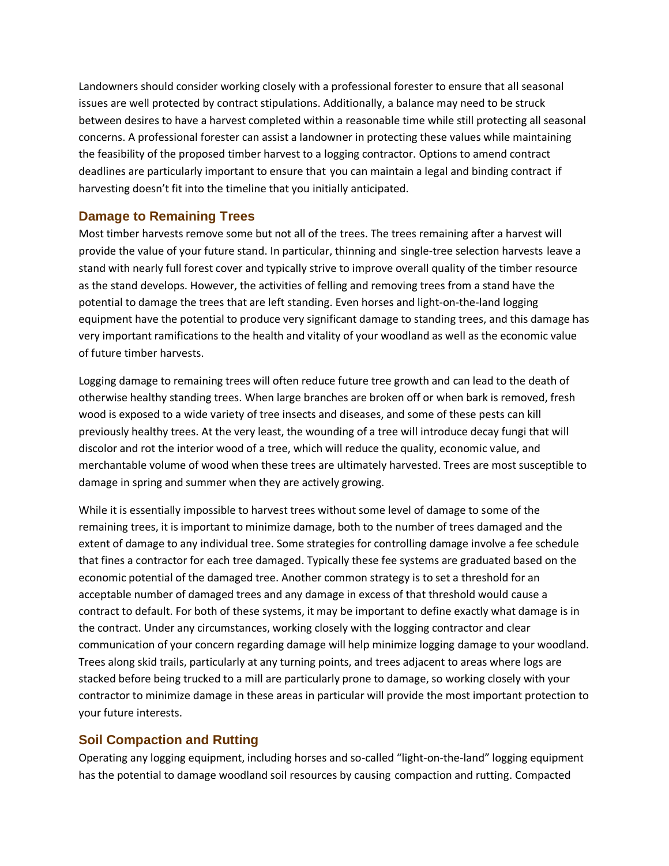Landowners should consider working closely with a professional forester to ensure that all seasonal issues are well protected by contract stipulations. Additionally, a balance may need to be struck between desires to have a harvest completed within a reasonable time while still protecting all seasonal concerns. A professional forester can assist a landowner in protecting these values while maintaining the feasibility of the proposed timber harvest to a logging contractor. Options to amend contract deadlines are particularly important to ensure that you can maintain a legal and binding contract if harvesting doesn't fit into the timeline that you initially anticipated.

#### **Damage to Remaining Trees**

Most timber harvests remove some but not all of the trees. The trees remaining after a harvest will provide the value of your future stand. In particular, thinning and single-tree selection harvests leave a stand with nearly full forest cover and typically strive to improve overall quality of the timber resource as the stand develops. However, the activities of felling and removing trees from a stand have the potential to damage the trees that are left standing. Even horses and light-on-the-land logging equipment have the potential to produce very significant damage to standing trees, and this damage has very important ramifications to the health and vitality of your woodland as well as the economic value of future timber harvests.

Logging damage to remaining trees will often reduce future tree growth and can lead to the death of otherwise healthy standing trees. When large branches are broken off or when bark is removed, fresh wood is exposed to a wide variety of tree insects and diseases, and some of these pests can kill previously healthy trees. At the very least, the wounding of a tree will introduce decay fungi that will discolor and rot the interior wood of a tree, which will reduce the quality, economic value, and merchantable volume of wood when these trees are ultimately harvested. Trees are most susceptible to damage in spring and summer when they are actively growing.

While it is essentially impossible to harvest trees without some level of damage to some of the remaining trees, it is important to minimize damage, both to the number of trees damaged and the extent of damage to any individual tree. Some strategies for controlling damage involve a fee schedule that fines a contractor for each tree damaged. Typically these fee systems are graduated based on the economic potential of the damaged tree. Another common strategy is to set a threshold for an acceptable number of damaged trees and any damage in excess of that threshold would cause a contract to default. For both of these systems, it may be important to define exactly what damage is in the contract. Under any circumstances, working closely with the logging contractor and clear communication of your concern regarding damage will help minimize logging damage to your woodland. Trees along skid trails, particularly at any turning points, and trees adjacent to areas where logs are stacked before being trucked to a mill are particularly prone to damage, so working closely with your contractor to minimize damage in these areas in particular will provide the most important protection to your future interests.

## **Soil Compaction and Rutting**

Operating any logging equipment, including horses and so-called "light-on-the-land" logging equipment has the potential to damage woodland soil resources by causing compaction and rutting. Compacted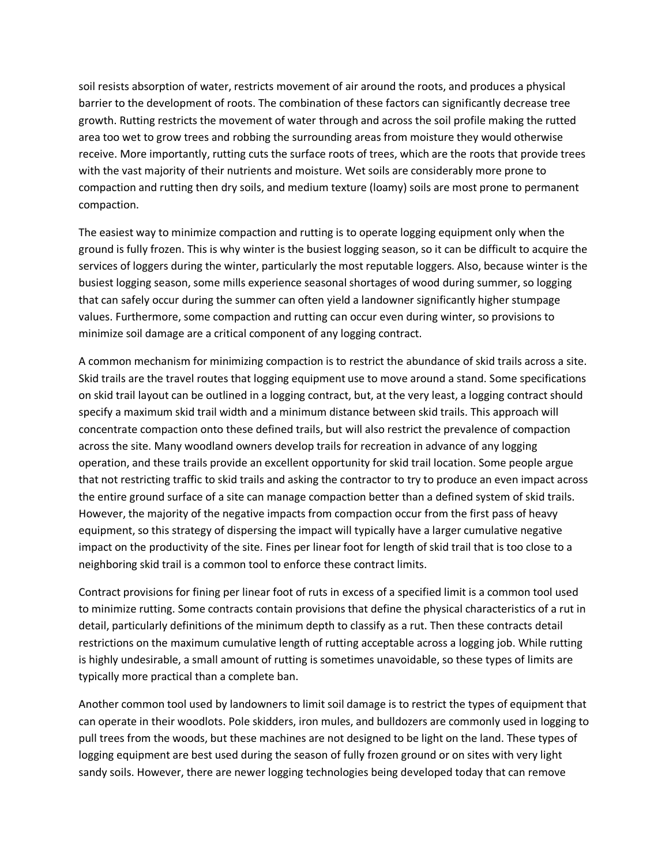soil resists absorption of water, restricts movement of air around the roots, and produces a physical barrier to the development of roots. The combination of these factors can significantly decrease tree growth. Rutting restricts the movement of water through and across the soil profile making the rutted area too wet to grow trees and robbing the surrounding areas from moisture they would otherwise receive. More importantly, rutting cuts the surface roots of trees, which are the roots that provide trees with the vast majority of their nutrients and moisture. Wet soils are considerably more prone to compaction and rutting then dry soils, and medium texture (loamy) soils are most prone to permanent compaction.

The easiest way to minimize compaction and rutting is to operate logging equipment only when the ground is fully frozen. This is why winter is the busiest logging season, so it can be difficult to acquire the services of loggers during the winter, particularly the most reputable loggers. Also, because winter is the busiest logging season, some mills experience seasonal shortages of wood during summer, so logging that can safely occur during the summer can often yield a landowner significantly higher stumpage values. Furthermore, some compaction and rutting can occur even during winter, so provisions to minimize soil damage are a critical component of any logging contract.

A common mechanism for minimizing compaction is to restrict the abundance of skid trails across a site. Skid trails are the travel routes that logging equipment use to move around a stand. Some specifications on skid trail layout can be outlined in a logging contract, but, at the very least, a logging contract should specify a maximum skid trail width and a minimum distance between skid trails. This approach will concentrate compaction onto these defined trails, but will also restrict the prevalence of compaction across the site. Many woodland owners develop trails for recreation in advance of any logging operation, and these trails provide an excellent opportunity for skid trail location. Some people argue that not restricting traffic to skid trails and asking the contractor to try to produce an even impact across the entire ground surface of a site can manage compaction better than a defined system of skid trails. However, the majority of the negative impacts from compaction occur from the first pass of heavy equipment, so this strategy of dispersing the impact will typically have a larger cumulative negative impact on the productivity of the site. Fines per linear foot for length of skid trail that is too close to a neighboring skid trail is a common tool to enforce these contract limits.

Contract provisions for fining per linear foot of ruts in excess of a specified limit is a common tool used to minimize rutting. Some contracts contain provisions that define the physical characteristics of a rut in detail, particularly definitions of the minimum depth to classify as a rut. Then these contracts detail restrictions on the maximum cumulative length of rutting acceptable across a logging job. While rutting is highly undesirable, a small amount of rutting is sometimes unavoidable, so these types of limits are typically more practical than a complete ban.

Another common tool used by landowners to limit soil damage is to restrict the types of equipment that can operate in their woodlots. Pole skidders, iron mules, and bulldozers are commonly used in logging to pull trees from the woods, but these machines are not designed to be light on the land. These types of logging equipment are best used during the season of fully frozen ground or on sites with very light sandy soils. However, there are newer logging technologies being developed today that can remove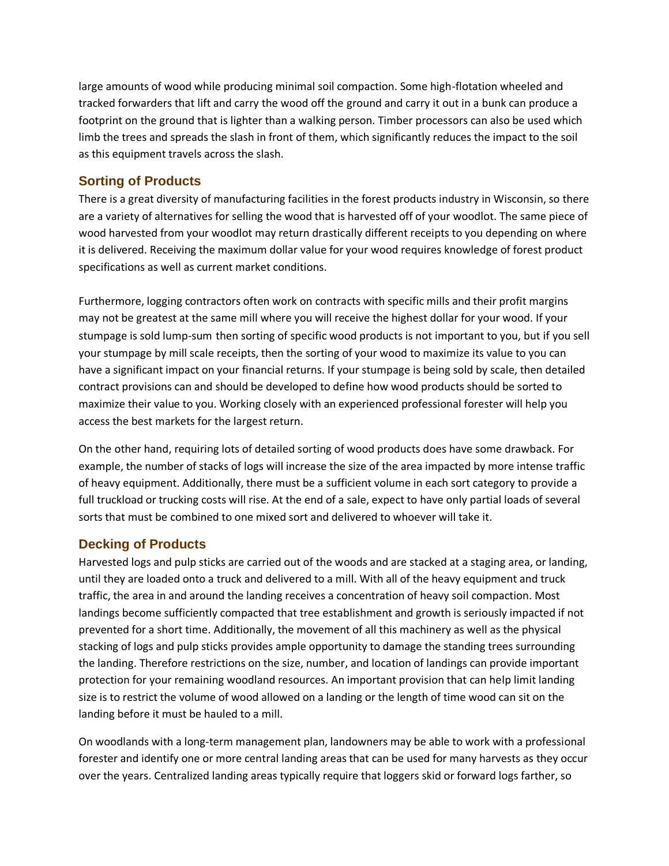large amounts of wood while producing minimal soil compaction. Some high-flotation wheeled and tracked forwarders that lift and carry the wood off the ground and carry it out in a bunk can produce a footprint on the ground that is lighter than a walking person. Timber processors can also be used which limb the trees and spreads the slash in front of them, which significantly reduces the impact to the soil as this equipment travels across the slash.

#### **Sorting of Products**

There is a great diversity of manufacturing facilities in the forest products industry in Wisconsin, so there are a variety of alternatives for selling the wood that is harvested off of your woodlot. The same piece of wood harvested from your woodlot may return drastically different receipts to you depending on where it is delivered. Receiving the maximum dollar value for your wood requires knowledge of forest product specifications as well as current market conditions.

Furthermore, logging contractors often work on contracts with specific mills and their profit margins may not be greatest at the same mill where you will receive the highest dollar for your wood. If your stumpage is sold lump-sum then sorting of specific wood products is not important to you, but if you sell your stumpage by mill scale receipts, then the sorting of your wood to maximize its value to you can have a significant impact on your financial returns. If your stumpage is being sold by scale, then detailed contract provisions can and should be developed to define how wood products should be sorted to maximize their value to you. Working closely with an experienced professional forester will help you access the best markets for the largest return.

On the other hand, requiring lots of detailed sorting of wood products does have some drawback. For example, the number of stacks of logs will increase the size of the area impacted by more intense traffic of heavy equipment. Additionally, there must be a sufficient volume in each sort category to provide a full truckload or trucking costs will rise. At the end of a sale, expect to have only partial loads of several sorts that must be combined to one mixed sort and delivered to whoever will take it.

## **Decking of Products**

Harvested logs and pulp sticks are carried out of the woods and are stacked at a staging area, or landing, until they are loaded onto a truck and delivered to a mill. With all of the heavy equipment and truck traffic, the area in and around the landing receives a concentration of heavy soil compaction. Most landings become sufficiently compacted that tree establishment and growth is seriously impacted if not prevented for a short time. Additionally, the movement of all this machinery as well as the physical stacking of logs and pulp sticks provides ample opportunity to damage the standing trees surrounding the landing. Therefore restrictions on the size, number, and location of landings can provide important protection for your remaining woodland resources. An important provision that can help limit landing size is to restrict the volume of wood allowed on a landing or the length of time wood can sit on the landing before it must be hauled to a mill.

On woodlands with a long-term management plan, landowners may be able to work with a professional forester and identify one or more central landing areas that can be used for many harvests as they occur over the years. Centralized landing areas typically require that loggers skid or forward logs farther, so